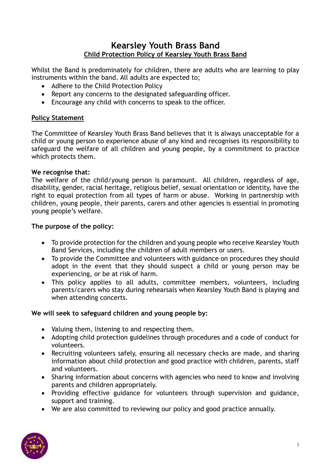# **Kearsley Youth Brass Band Child Protection Policy of Kearsley Youth Brass Band**

Whilst the Band is predominately for children, there are adults who are learning to play instruments within the band. All adults are expected to;

- Adhere to the Child Protection Policy
- Report any concerns to the designated safeguarding officer.
- Encourage any child with concerns to speak to the officer.

#### **Policy Statement**

The Committee of Kearsley Youth Brass Band believes that it is always unacceptable for a child or young person to experience abuse of any kind and recognises its responsibility to safeguard the welfare of all children and young people, by a commitment to practice which protects them.

#### **We recognise that:**

The welfare of the child/young person is paramount. All children, regardless of age, disability, gender, racial heritage, religious belief, sexual orientation or identity, have the right to equal protection from all types of harm or abuse. Working in partnership with children, young people, their parents, carers and other agencies is essential in promoting young people's welfare.

#### **The purpose of the policy:**

- To provide protection for the children and young people who receive Kearsley Youth Band Services, including the children of adult members or users.
- To provide the Committee and volunteers with guidance on procedures they should adopt in the event that they should suspect a child or young person may be experiencing, or be at risk of harm.
- This policy applies to all adults, committee members, volunteers, including parents/carers who stay during rehearsals when Kearsley Youth Band is playing and when attending concerts.

#### **We will seek to safeguard children and young people by:**

- Valuing them, listening to and respecting them.
- Adopting child protection guidelines through procedures and a code of conduct for volunteers.
- Recruiting volunteers safely, ensuring all necessary checks are made, and sharing information about child protection and good practice with children, parents, staff and volunteers.
- Sharing information about concerns with agencies who need to know and involving parents and children appropriately.
- Providing effective guidance for volunteers through supervision and guidance, support and training.
- We are also committed to reviewing our policy and good practice annually.

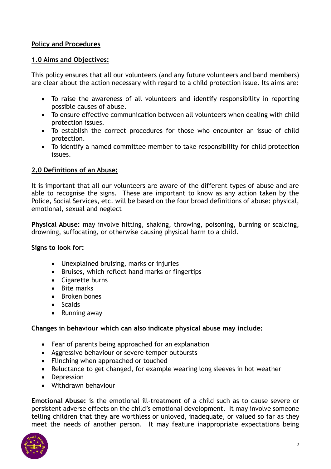### **Policy and Procedures**

### **1.0 Aims and Objectives:**

This policy ensures that all our volunteers (and any future volunteers and band members) are clear about the action necessary with regard to a child protection issue. Its aims are:

- To raise the awareness of all volunteers and identify responsibility in reporting possible causes of abuse.
- To ensure effective communication between all volunteers when dealing with child protection issues.
- To establish the correct procedures for those who encounter an issue of child protection.
- To identify a named committee member to take responsibility for child protection issues.

### **2.0 Definitions of an Abuse:**

It is important that all our volunteers are aware of the different types of abuse and are able to recognise the signs. These are important to know as any action taken by the Police, Social Services, etc. will be based on the four broad definitions of abuse: physical, emotional, sexual and neglect

**Physical Abuse:** may involve hitting, shaking, throwing, poisoning, burning or scalding, drowning, suffocating, or otherwise causing physical harm to a child.

**Signs to look for:**

- Unexplained bruising, marks or injuries
- Bruises, which reflect hand marks or fingertips
- Cigarette burns
- Bite marks
- Broken bones
- Scalds
- Running away

## **Changes in behaviour which can also indicate physical abuse may include:**

- Fear of parents being approached for an explanation
- Aggressive behaviour or severe temper outbursts
- Flinching when approached or touched
- Reluctance to get changed, for example wearing long sleeves in hot weather
- Depression
- Withdrawn behaviour

**Emotional Abuse:** is the emotional ill-treatment of a child such as to cause severe or persistent adverse effects on the child's emotional development. It may involve someone telling children that they are worthless or unloved, inadequate, or valued so far as they meet the needs of another person. It may feature inappropriate expectations being

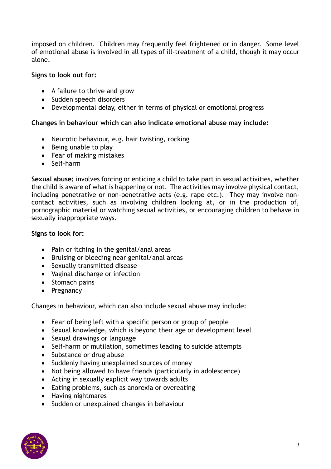imposed on children. Children may frequently feel frightened or in danger. Some level of emotional abuse is involved in all types of ill-treatment of a child, though it may occur alone.

### **Signs to look out for:**

- A failure to thrive and grow
- Sudden speech disorders
- Developmental delay, either in terms of physical or emotional progress

#### **Changes in behaviour which can also indicate emotional abuse may include:**

- Neurotic behaviour, e.g. hair twisting, rocking
- Being unable to play
- Fear of making mistakes
- Self-harm

**Sexual abuse:** involves forcing or enticing a child to take part in sexual activities, whether the child is aware of what is happening or not. The activities may involve physical contact, including penetrative or non-penetrative acts (e.g. rape etc.). They may involve noncontact activities, such as involving children looking at, or in the production of, pornographic material or watching sexual activities, or encouraging children to behave in sexually inappropriate ways.

### **Signs to look for:**

- Pain or itching in the genital/anal areas
- Bruising or bleeding near genital/anal areas
- Sexually transmitted disease
- Vaginal discharge or infection
- Stomach pains
- Pregnancy

Changes in behaviour, which can also include sexual abuse may include:

- Fear of being left with a specific person or group of people
- Sexual knowledge, which is beyond their age or development level
- Sexual drawings or language
- Self-harm or mutilation, sometimes leading to suicide attempts
- Substance or drug abuse
- Suddenly having unexplained sources of money
- Not being allowed to have friends (particularly in adolescence)
- Acting in sexually explicit way towards adults
- Eating problems, such as anorexia or overeating
- Having nightmares
- Sudden or unexplained changes in behaviour

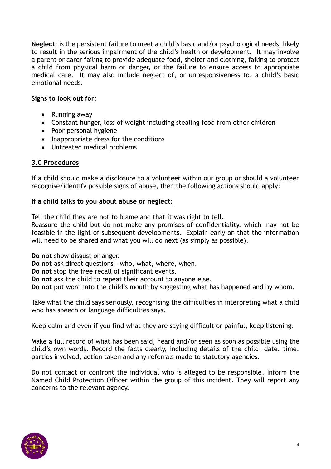**Neglect:** is the persistent failure to meet a child's basic and/or psychological needs, likely to result in the serious impairment of the child's health or development. It may involve a parent or carer failing to provide adequate food, shelter and clothing, failing to protect a child from physical harm or danger, or the failure to ensure access to appropriate medical care. It may also include neglect of, or unresponsiveness to, a child's basic emotional needs.

#### **Signs to look out for:**

- Running away
- Constant hunger, loss of weight including stealing food from other children
- Poor personal hygiene
- Inappropriate dress for the conditions
- Untreated medical problems

### **3.0 Procedures**

If a child should make a disclosure to a volunteer within our group or should a volunteer recognise/identify possible signs of abuse, then the following actions should apply:

#### **If a child talks to you about abuse or neglect:**

Tell the child they are not to blame and that it was right to tell.

Reassure the child but do not make any promises of confidentiality, which may not be feasible in the light of subsequent developments. Explain early on that the information will need to be shared and what you will do next (as simply as possible).

**Do not** show disgust or anger.

**Do not** ask direct questions – who, what, where, when.

**Do not** stop the free recall of significant events.

**Do not** ask the child to repeat their account to anyone else.

**Do not** put word into the child's mouth by suggesting what has happened and by whom.

Take what the child says seriously, recognising the difficulties in interpreting what a child who has speech or language difficulties says.

Keep calm and even if you find what they are saying difficult or painful, keep listening.

Make a full record of what has been said, heard and/or seen as soon as possible using the child's own words. Record the facts clearly, including details of the child, date, time, parties involved, action taken and any referrals made to statutory agencies.

Do not contact or confront the individual who is alleged to be responsible. Inform the Named Child Protection Officer within the group of this incident. They will report any concerns to the relevant agency.